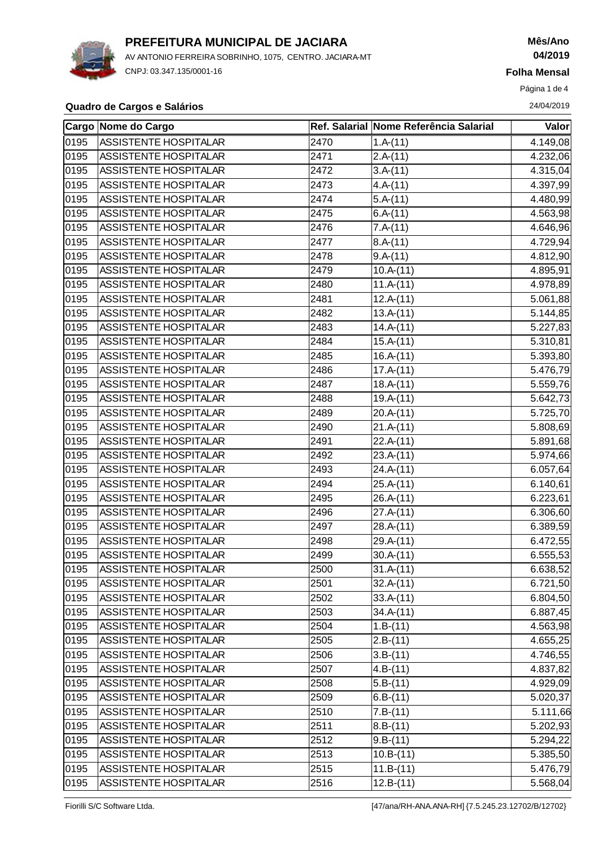

AV ANTONIO FERREIRA SOBRINHO, 1075, CENTRO. JACIARA-MT CNPJ: 03.347.135/0001-16

# **Mês/Ano 04/2019**

**Folha Mensal**

Página 1 de 4

#### **Quadro de Cargos e Salários** 24/04/2019

|      | <b>Cargo Nome do Cargo</b>   |      | Ref. Salarial Nome Referência Salarial | Valor    |
|------|------------------------------|------|----------------------------------------|----------|
| 0195 | ASSISTENTE HOSPITALAR        | 2470 | $1.A-(11)$                             | 4.149,08 |
| 0195 | ASSISTENTE HOSPITALAR        | 2471 | $2.A-(11)$                             | 4.232,06 |
| 0195 | ASSISTENTE HOSPITALAR        | 2472 | $3.A-(11)$                             | 4.315,04 |
| 0195 | ASSISTENTE HOSPITALAR        | 2473 | $4.A-(11)$                             | 4.397,99 |
| 0195 | ASSISTENTE HOSPITALAR        | 2474 | $5.A-(11)$                             | 4.480,99 |
| 0195 | ASSISTENTE HOSPITALAR        | 2475 | $6.A-(11)$                             | 4.563,98 |
| 0195 | ASSISTENTE HOSPITALAR        | 2476 | $7.A-(11)$                             | 4.646,96 |
| 0195 | ASSISTENTE HOSPITALAR        | 2477 | $8.A-(11)$                             | 4.729,94 |
| 0195 | ASSISTENTE HOSPITALAR        | 2478 | $9.A-(11)$                             | 4.812,90 |
| 0195 | ASSISTENTE HOSPITALAR        | 2479 | $10.A-(11)$                            | 4.895,91 |
| 0195 | ASSISTENTE HOSPITALAR        | 2480 | $11.A-(11)$                            | 4.978,89 |
| 0195 | ASSISTENTE HOSPITALAR        | 2481 | $12.A-(11)$                            | 5.061,88 |
| 0195 | ASSISTENTE HOSPITALAR        | 2482 | $13.A-(11)$                            | 5.144,85 |
| 0195 | ASSISTENTE HOSPITALAR        | 2483 | $14.A-(11)$                            | 5.227,83 |
| 0195 | ASSISTENTE HOSPITALAR        | 2484 | $15.A-(11)$                            | 5.310,81 |
| 0195 | <b>ASSISTENTE HOSPITALAR</b> | 2485 | $16.A-(11)$                            | 5.393,80 |
| 0195 | ASSISTENTE HOSPITALAR        | 2486 | $17.A-(11)$                            | 5.476,79 |
| 0195 | ASSISTENTE HOSPITALAR        | 2487 | $18.A-(11)$                            | 5.559,76 |
| 0195 | ASSISTENTE HOSPITALAR        | 2488 | $19.A-(11)$                            | 5.642,73 |
| 0195 | ASSISTENTE HOSPITALAR        | 2489 | $20.A-(11)$                            | 5.725,70 |
| 0195 | ASSISTENTE HOSPITALAR        | 2490 | $21.A-(11)$                            | 5.808,69 |
| 0195 | ASSISTENTE HOSPITALAR        | 2491 | $22.A-(11)$                            | 5.891,68 |
| 0195 | ASSISTENTE HOSPITALAR        | 2492 | $23.A-(11)$                            | 5.974,66 |
| 0195 | ASSISTENTE HOSPITALAR        | 2493 | $24.A-(11)$                            | 6.057,64 |
| 0195 | ASSISTENTE HOSPITALAR        | 2494 | $25.A-(11)$                            | 6.140,61 |
| 0195 | ASSISTENTE HOSPITALAR        | 2495 | $26.A-(11)$                            | 6.223,61 |
| 0195 | ASSISTENTE HOSPITALAR        | 2496 | $27.A-(11)$                            | 6.306,60 |
| 0195 | ASSISTENTE HOSPITALAR        | 2497 | $28.A-(11)$                            | 6.389,59 |
| 0195 | ASSISTENTE HOSPITALAR        | 2498 | $29.A-(11)$                            | 6.472,55 |
| 0195 | ASSISTENTE HOSPITALAR        | 2499 | $30.A-(11)$                            | 6.555,53 |
| 0195 | ASSISTENTE HOSPITALAR        | 2500 | $31.A-(11)$                            | 6.638,52 |
| 0195 | ASSISTENTE HOSPITALAR        | 2501 | $32.A-(11)$                            | 6.721,50 |
| 0195 | ASSISTENTE HOSPITALAR        | 2502 | $33.A-(11)$                            | 6.804,50 |
| 0195 | ASSISTENTE HOSPITALAR        | 2503 | $34.A-(11)$                            | 6.887,45 |
| 0195 | ASSISTENTE HOSPITALAR        | 2504 | $1.B-(11)$                             | 4.563,98 |
| 0195 | ASSISTENTE HOSPITALAR        | 2505 | $2.B-(11)$                             | 4.655,25 |
| 0195 | ASSISTENTE HOSPITALAR        | 2506 | $3.B-(11)$                             | 4.746,55 |
| 0195 | ASSISTENTE HOSPITALAR        | 2507 | $4.B-(11)$                             | 4.837,82 |
| 0195 | ASSISTENTE HOSPITALAR        | 2508 | $5.B-(11)$                             | 4.929,09 |
| 0195 | ASSISTENTE HOSPITALAR        | 2509 | $ 6.B-(11) $                           | 5.020,37 |
| 0195 | ASSISTENTE HOSPITALAR        | 2510 | $7.B-(11)$                             | 5.111,66 |
| 0195 | ASSISTENTE HOSPITALAR        | 2511 | $ 8.B-(11) $                           | 5.202,93 |
| 0195 | ASSISTENTE HOSPITALAR        | 2512 | $9.B-(11)$                             | 5.294,22 |
| 0195 | ASSISTENTE HOSPITALAR        | 2513 | $10.B-(11)$                            | 5.385,50 |
| 0195 | ASSISTENTE HOSPITALAR        | 2515 | $11.B-(11)$                            | 5.476,79 |
| 0195 | ASSISTENTE HOSPITALAR        | 2516 | $12.B-(11)$                            | 5.568,04 |

Fiorilli S/C Software Ltda. [47/ana/RH-ANA.ANA-RH] {7.5.245.23.12702/B/12702}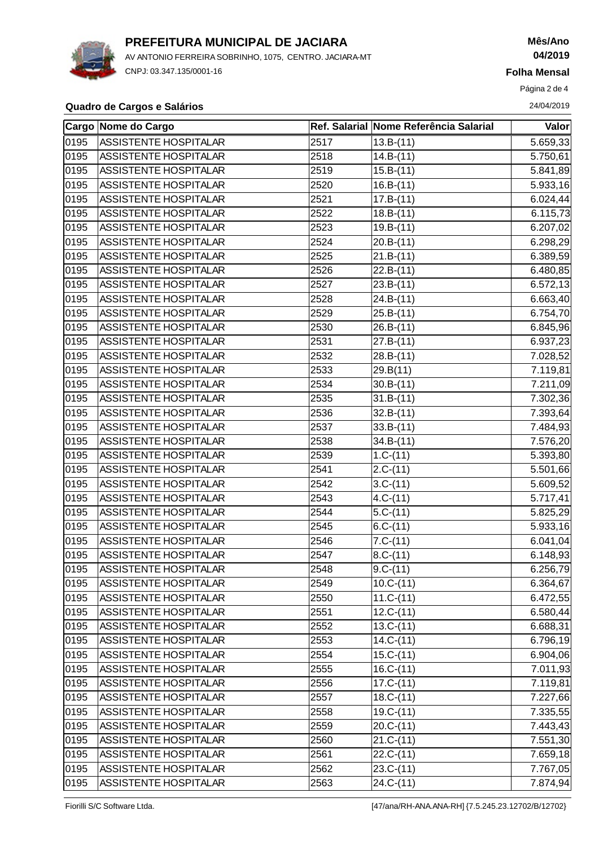

AV ANTONIO FERREIRA SOBRINHO, 1075, CENTRO. JACIARA-MT CNPJ: 03.347.135/0001-16

# **Mês/Ano 04/2019**

**Folha Mensal**

Página 2 de 4

#### **Quadro de Cargos e Salários** 24/04/2019

|                   | Cargo Nome do Cargo   |      | Ref. Salarial Nome Referência Salarial | Valor                 |
|-------------------|-----------------------|------|----------------------------------------|-----------------------|
| 0195              | ASSISTENTE HOSPITALAR | 2517 | $13.B-(11)$                            | 5.659,33              |
| 0195              | ASSISTENTE HOSPITALAR | 2518 | $14.B-(11)$                            | 5.750,61              |
| 0195              | ASSISTENTE HOSPITALAR | 2519 | $15.B-(11)$                            | 5.841,89              |
| 0195              | ASSISTENTE HOSPITALAR | 2520 | $16.B-(11)$                            | 5.933,16              |
| 0195              | ASSISTENTE HOSPITALAR | 2521 | $17.B-(11)$                            | 6.024,44              |
| 0195              | ASSISTENTE HOSPITALAR | 2522 | $18.B-(11)$                            | 6.115,73              |
| 0195              | ASSISTENTE HOSPITALAR | 2523 | $19.B-(11)$                            | 6.207,02              |
| 0195              | ASSISTENTE HOSPITALAR | 2524 | $20.B-(11)$                            | 6.298,29              |
| 0195              | ASSISTENTE HOSPITALAR | 2525 | $21.B-(11)$                            | 6.389,59              |
| 0195              | ASSISTENTE HOSPITALAR | 2526 | $22.B-(11)$                            | 6.480,85              |
| 0195              | ASSISTENTE HOSPITALAR | 2527 | $23.B-(11)$                            | 6.572, 13             |
| 0195              | ASSISTENTE HOSPITALAR | 2528 | $24.B-(11)$                            | 6.663,40              |
| 0195              | ASSISTENTE HOSPITALAR | 2529 | $25.B-(11)$                            | 6.754,70              |
| 0195              | ASSISTENTE HOSPITALAR | 2530 | $26.B-(11)$                            | 6.845,96              |
| 0195              | ASSISTENTE HOSPITALAR | 2531 | $27.B-(11)$                            | 6.937,23              |
| 0195              | ASSISTENTE HOSPITALAR | 2532 | $28.B-(11)$                            | 7.028,52              |
| 0195              | ASSISTENTE HOSPITALAR | 2533 | 29.B(11)                               | 7.119,81              |
| 0195              | ASSISTENTE HOSPITALAR | 2534 | $30.B-(11)$                            | 7.211,09              |
| 0195              | ASSISTENTE HOSPITALAR | 2535 | $31.B-(11)$                            | 7.302,36              |
| 0195              | ASSISTENTE HOSPITALAR | 2536 | $32.B-(11)$                            | 7.393,64              |
| 0195              | ASSISTENTE HOSPITALAR | 2537 | $33.B-(11)$                            | 7.484,93              |
| 0195              | ASSISTENTE HOSPITALAR | 2538 | $34.B-(11)$                            | 7.576,20              |
| 0195              | ASSISTENTE HOSPITALAR | 2539 | $1.C-(11)$                             | 5.393,80              |
| 0195              | ASSISTENTE HOSPITALAR | 2541 | $2.C-(11)$                             | 5.501,66              |
| 0195              | ASSISTENTE HOSPITALAR | 2542 | $3.C-(11)$                             | 5.609,52              |
| 0195              | ASSISTENTE HOSPITALAR | 2543 | $4.C-(11)$                             | 5.717,41              |
| 0195              | ASSISTENTE HOSPITALAR | 2544 | $5.C-(11)$                             | 5.825,29              |
| 0195              | ASSISTENTE HOSPITALAR | 2545 | $6.C-(11)$                             | 5.933,16              |
| 0195              | ASSISTENTE HOSPITALAR | 2546 | $7.C-(11)$                             | 6.041,04              |
| 0195              | ASSISTENTE HOSPITALAR | 2547 | $8.C-(11)$                             | $\overline{6.1}48,93$ |
| $\overline{0195}$ | ASSISTENTE HOSPITALAR | 2548 | $9.C-(11)$                             | 6.256,79              |
| 0195              | ASSISTENTE HOSPITALAR | 2549 | $10.C-(11)$                            | 6.364,67              |
| 0195              | ASSISTENTE HOSPITALAR | 2550 | $11.C-(11)$                            | 6.472,55              |
| 0195              | ASSISTENTE HOSPITALAR | 2551 | $12.C-(11)$                            | 6.580,44              |
| 0195              | ASSISTENTE HOSPITALAR | 2552 | $13.C-(11)$                            | 6.688,31              |
| 0195              | ASSISTENTE HOSPITALAR | 2553 | $14.C-(11)$                            | 6.796,19              |
| 0195              | ASSISTENTE HOSPITALAR | 2554 | $15.C-(11)$                            | 6.904,06              |
| 0195              | ASSISTENTE HOSPITALAR | 2555 | $16.C-(11)$                            | 7.011,93              |
| 0195              | ASSISTENTE HOSPITALAR | 2556 | $17.C-(11)$                            | 7.119,81              |
| 0195              | ASSISTENTE HOSPITALAR | 2557 | $18.C-(11)$                            | 7.227,66              |
| 0195              | ASSISTENTE HOSPITALAR | 2558 | $19.C-(11)$                            | 7.335,55              |
| 0195              | ASSISTENTE HOSPITALAR | 2559 | $20.C-(11)$                            | 7.443,43              |
| 0195              | ASSISTENTE HOSPITALAR | 2560 | $21.C-(11)$                            | 7.551,30              |
| 0195              | ASSISTENTE HOSPITALAR | 2561 | $22.C-(11)$                            | 7.659,18              |
| 0195              | ASSISTENTE HOSPITALAR | 2562 | $23.C-(11)$                            | 7.767,05              |
| 0195              | ASSISTENTE HOSPITALAR | 2563 | $24.C-(11)$                            | 7.874,94              |

Fiorilli S/C Software Ltda. [47/ana/RH-ANA.ANA-RH] {7.5.245.23.12702/B/12702}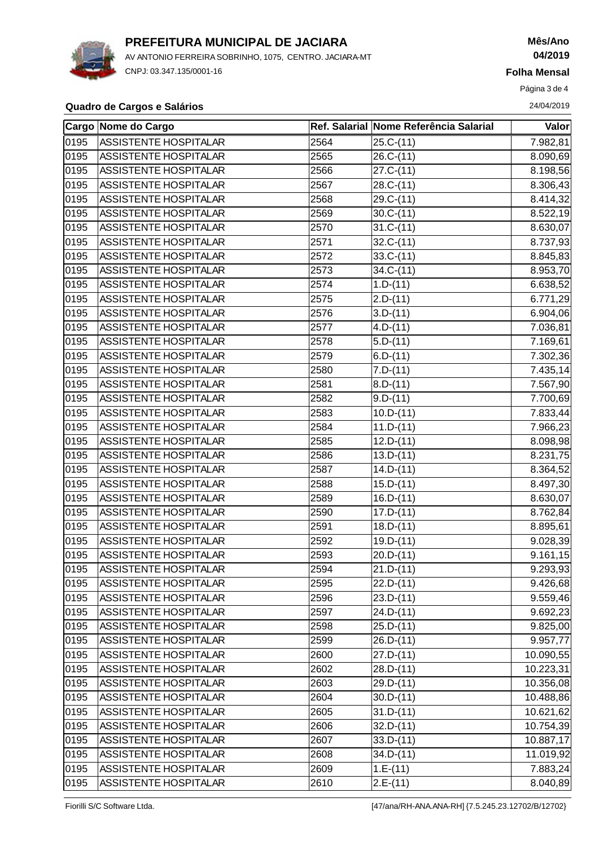

AV ANTONIO FERREIRA SOBRINHO, 1075, CENTRO. JACIARA-MT CNPJ: 03.347.135/0001-16

## **Mês/Ano 04/2019**

**Folha Mensal**

Página 3 de 4

#### **Quadro de Cargos e Salários** 24/04/2019

|      | Cargo Nome do Cargo          |      | Ref. Salarial Nome Referência Salarial | Valor     |
|------|------------------------------|------|----------------------------------------|-----------|
| 0195 | ASSISTENTE HOSPITALAR        | 2564 | $25.C-(11)$                            | 7.982,81  |
| 0195 | ASSISTENTE HOSPITALAR        | 2565 | $26.C-(11)$                            | 8.090,69  |
| 0195 | ASSISTENTE HOSPITALAR        | 2566 | $27.C-(11)$                            | 8.198,56  |
| 0195 | ASSISTENTE HOSPITALAR        | 2567 | $28.C-(11)$                            | 8.306,43  |
| 0195 | ASSISTENTE HOSPITALAR        | 2568 | 29.C-(11)                              | 8.414,32  |
| 0195 | <b>ASSISTENTE HOSPITALAR</b> | 2569 | $30.C-(11)$                            | 8.522,19  |
| 0195 | ASSISTENTE HOSPITALAR        | 2570 | $31.C-(11)$                            | 8.630,07  |
| 0195 | ASSISTENTE HOSPITALAR        | 2571 | $32.C-(11)$                            | 8.737,93  |
| 0195 | ASSISTENTE HOSPITALAR        | 2572 | $33.C-(11)$                            | 8.845,83  |
| 0195 | ASSISTENTE HOSPITALAR        | 2573 | $\sqrt{3}4.C-(11)$                     | 8.953,70  |
| 0195 | ASSISTENTE HOSPITALAR        | 2574 | $1.D-(11)$                             | 6.638,52  |
| 0195 | ASSISTENTE HOSPITALAR        | 2575 | $2.D-(11)$                             | 6.771,29  |
| 0195 | ASSISTENTE HOSPITALAR        | 2576 | $3.D-(11)$                             | 6.904,06  |
| 0195 | ASSISTENTE HOSPITALAR        | 2577 | $4.D-(11)$                             | 7.036,81  |
| 0195 | ASSISTENTE HOSPITALAR        | 2578 | $5.D-(11)$                             | 7.169,61  |
| 0195 | ASSISTENTE HOSPITALAR        | 2579 | $6.D-(11)$                             | 7.302,36  |
| 0195 | ASSISTENTE HOSPITALAR        | 2580 | $7.D-(11)$                             | 7.435,14  |
| 0195 | ASSISTENTE HOSPITALAR        | 2581 | $8.D-(11)$                             | 7.567,90  |
| 0195 | ASSISTENTE HOSPITALAR        | 2582 | $9.D-(11)$                             | 7.700,69  |
| 0195 | ASSISTENTE HOSPITALAR        | 2583 | $10.D-(11)$                            | 7.833,44  |
| 0195 | ASSISTENTE HOSPITALAR        | 2584 | $11.D-(11)$                            | 7.966,23  |
| 0195 | ASSISTENTE HOSPITALAR        | 2585 | $12.D-(11)$                            | 8.098,98  |
| 0195 | ASSISTENTE HOSPITALAR        | 2586 | $13.D-(11)$                            | 8.231,75  |
| 0195 | ASSISTENTE HOSPITALAR        | 2587 | $14.D-(11)$                            | 8.364,52  |
| 0195 | ASSISTENTE HOSPITALAR        | 2588 | $15.D-(11)$                            | 8.497,30  |
| 0195 | ASSISTENTE HOSPITALAR        | 2589 | $16.D-(11)$                            | 8.630,07  |
| 0195 | ASSISTENTE HOSPITALAR        | 2590 | $17.D-(11)$                            | 8.762,84  |
| 0195 | ASSISTENTE HOSPITALAR        | 2591 | $18.D-(11)$                            | 8.895,61  |
| 0195 | ASSISTENTE HOSPITALAR        | 2592 | $19.D-(11)$                            | 9.028,39  |
| 0195 | ASSISTENTE HOSPITALAR        | 2593 | $20.D-(11)$                            | 9.161, 15 |
| 0195 | ASSISTENTE HOSPITALAR        | 2594 | $21.D-(11)$                            | 9.293,93  |
| 0195 | ASSISTENTE HOSPITALAR        | 2595 | $22.D-(11)$                            | 9.426,68  |
| 0195 | ASSISTENTE HOSPITALAR        | 2596 | $23.D-(11)$                            | 9.559,46  |
| 0195 | ASSISTENTE HOSPITALAR        | 2597 | $24.D-(11)$                            | 9.692,23  |
| 0195 | ASSISTENTE HOSPITALAR        | 2598 | $25.D-(11)$                            | 9.825,00  |
| 0195 | ASSISTENTE HOSPITALAR        | 2599 | $26.D-(11)$                            | 9.957,77  |
| 0195 | ASSISTENTE HOSPITALAR        | 2600 | $27.D-(11)$                            | 10.090,55 |
| 0195 | ASSISTENTE HOSPITALAR        | 2602 | $28.D-(11)$                            | 10.223,31 |
| 0195 | ASSISTENTE HOSPITALAR        | 2603 | $29.D-(11)$                            | 10.356,08 |
| 0195 | ASSISTENTE HOSPITALAR        | 2604 | $30.D-(11)$                            | 10.488,86 |
| 0195 | ASSISTENTE HOSPITALAR        | 2605 | $31.D-(11)$                            | 10.621,62 |
| 0195 | ASSISTENTE HOSPITALAR        | 2606 | $32.D-(11)$                            | 10.754,39 |
| 0195 | ASSISTENTE HOSPITALAR        | 2607 | $33.D-(11)$                            | 10.887,17 |
| 0195 | ASSISTENTE HOSPITALAR        | 2608 | $34.D-(11)$                            | 11.019,92 |
| 0195 | ASSISTENTE HOSPITALAR        | 2609 | $1.E-(11)$                             | 7.883,24  |
| 0195 | ASSISTENTE HOSPITALAR        | 2610 | $2.E-(11)$                             | 8.040,89  |

Fiorilli S/C Software Ltda. [47/ana/RH-ANA.ANA-RH] {7.5.245.23.12702/B/12702}